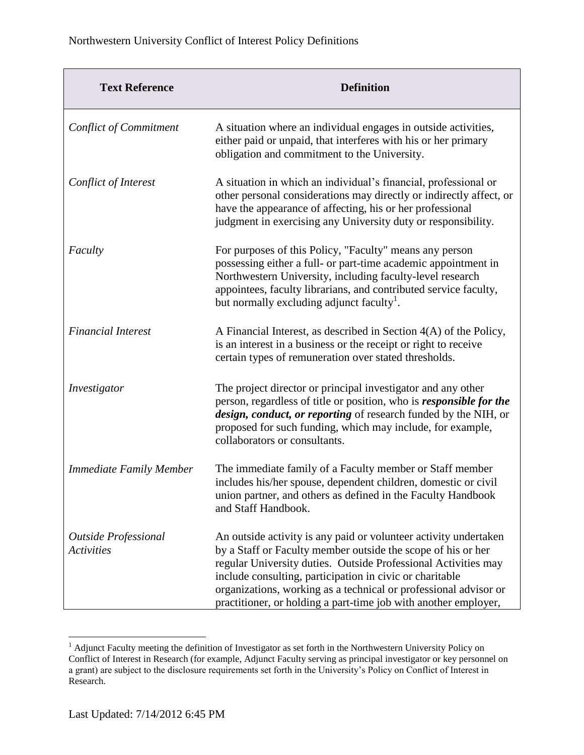| <b>Text Reference</b>                            | <b>Definition</b>                                                                                                                                                                                                                                                                                                                                                                                     |
|--------------------------------------------------|-------------------------------------------------------------------------------------------------------------------------------------------------------------------------------------------------------------------------------------------------------------------------------------------------------------------------------------------------------------------------------------------------------|
| <b>Conflict of Commitment</b>                    | A situation where an individual engages in outside activities,<br>either paid or unpaid, that interferes with his or her primary<br>obligation and commitment to the University.                                                                                                                                                                                                                      |
| Conflict of Interest                             | A situation in which an individual's financial, professional or<br>other personal considerations may directly or indirectly affect, or<br>have the appearance of affecting, his or her professional<br>judgment in exercising any University duty or responsibility.                                                                                                                                  |
| Faculty                                          | For purposes of this Policy, "Faculty" means any person<br>possessing either a full- or part-time academic appointment in<br>Northwestern University, including faculty-level research<br>appointees, faculty librarians, and contributed service faculty,<br>but normally excluding adjunct faculty <sup>1</sup> .                                                                                   |
| <b>Financial Interest</b>                        | A Financial Interest, as described in Section $4(A)$ of the Policy,<br>is an interest in a business or the receipt or right to receive<br>certain types of remuneration over stated thresholds.                                                                                                                                                                                                       |
| Investigator                                     | The project director or principal investigator and any other<br>person, regardless of title or position, who is <i>responsible for the</i><br>design, conduct, or reporting of research funded by the NIH, or<br>proposed for such funding, which may include, for example,<br>collaborators or consultants.                                                                                          |
| <b>Immediate Family Member</b>                   | The immediate family of a Faculty member or Staff member<br>includes his/her spouse, dependent children, domestic or civil<br>union partner, and others as defined in the Faculty Handbook<br>and Staff Handbook.                                                                                                                                                                                     |
| <b>Outside Professional</b><br><b>Activities</b> | An outside activity is any paid or volunteer activity undertaken<br>by a Staff or Faculty member outside the scope of his or her<br>regular University duties. Outside Professional Activities may<br>include consulting, participation in civic or charitable<br>organizations, working as a technical or professional advisor or<br>practitioner, or holding a part-time job with another employer, |

 $<sup>1</sup>$  Adjunct Faculty meeting the definition of Investigator as set forth in the Northwestern University Policy on</sup> Conflict of Interest in Research (for example, Adjunct Faculty serving as principal investigator or key personnel on a grant) are subject to the disclosure requirements set forth in the University's Policy on Conflict of Interest in Research.

 $\overline{a}$